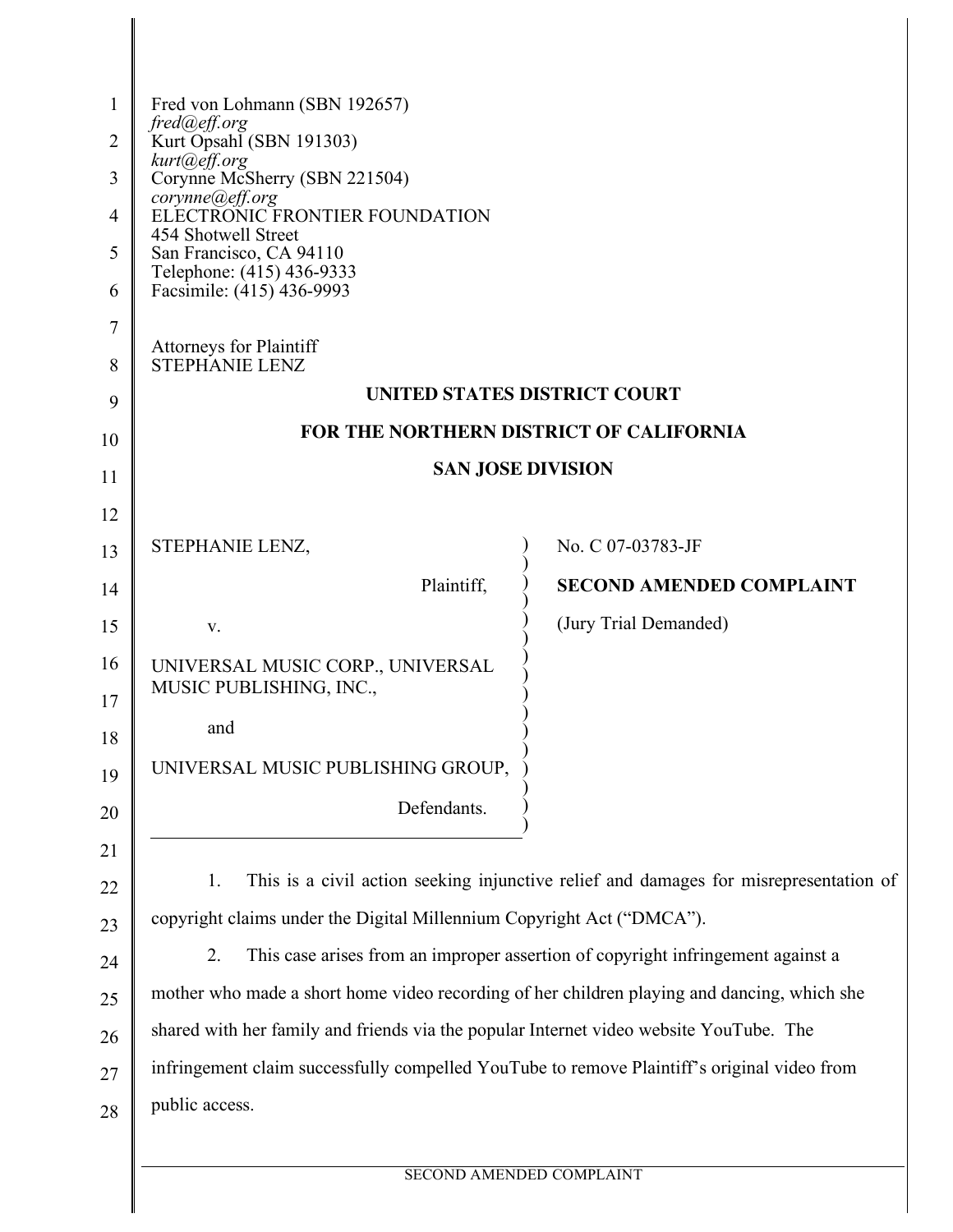| 1                               | Fred von Lohmann (SBN 192657)<br>fred@eff.org                                               |                                 |  |
|---------------------------------|---------------------------------------------------------------------------------------------|---------------------------------|--|
| 2                               | Kurt Opsahl (SBN 191303)                                                                    |                                 |  |
| 3                               | kurt@eff.org<br>Corynne McSherry (SBN 221504)                                               |                                 |  |
| 4                               | corynne@eff.org<br>ELECTRONIC FRONTIER FOUNDATION                                           |                                 |  |
| 5                               | 454 Shotwell Street<br>San Francisco, CA 94110                                              |                                 |  |
| 6                               | Telephone: (415) 436-9333<br>Facsimile: (415) 436-9993                                      |                                 |  |
| 7                               |                                                                                             |                                 |  |
| 8                               | <b>Attorneys for Plaintiff</b><br><b>STEPHANIE LENZ</b>                                     |                                 |  |
| 9                               | <b>UNITED STATES DISTRICT COURT</b>                                                         |                                 |  |
| 10                              | FOR THE NORTHERN DISTRICT OF CALIFORNIA                                                     |                                 |  |
| 11                              | <b>SAN JOSE DIVISION</b>                                                                    |                                 |  |
| 12                              |                                                                                             |                                 |  |
| 13                              | STEPHANIE LENZ,                                                                             | No. C 07-03783-JF               |  |
| 14                              | Plaintiff,                                                                                  | <b>SECOND AMENDED COMPLAINT</b> |  |
| 15                              | V.                                                                                          | (Jury Trial Demanded)           |  |
| 16<br>17                        | UNIVERSAL MUSIC CORP., UNIVERSAL<br>MUSIC PUBLISHING, INC.,                                 |                                 |  |
| 18                              | and                                                                                         |                                 |  |
| 19                              | UNIVERSAL MUSIC PUBLISHING GROUP,                                                           |                                 |  |
| 20                              | Defendants.                                                                                 |                                 |  |
| 21                              |                                                                                             |                                 |  |
| 22                              | This is a civil action seeking injunctive relief and damages for misrepresentation of<br>1. |                                 |  |
| 23                              | copyright claims under the Digital Millennium Copyright Act ("DMCA").                       |                                 |  |
| 24                              | This case arises from an improper assertion of copyright infringement against a<br>2.       |                                 |  |
| 25                              | mother who made a short home video recording of her children playing and dancing, which she |                                 |  |
| 26                              | shared with her family and friends via the popular Internet video website YouTube. The      |                                 |  |
| 27                              | infringement claim successfully compelled YouTube to remove Plaintiff's original video from |                                 |  |
| 28                              | public access.                                                                              |                                 |  |
|                                 |                                                                                             |                                 |  |
| <b>SECOND AMENDED COMPLAINT</b> |                                                                                             |                                 |  |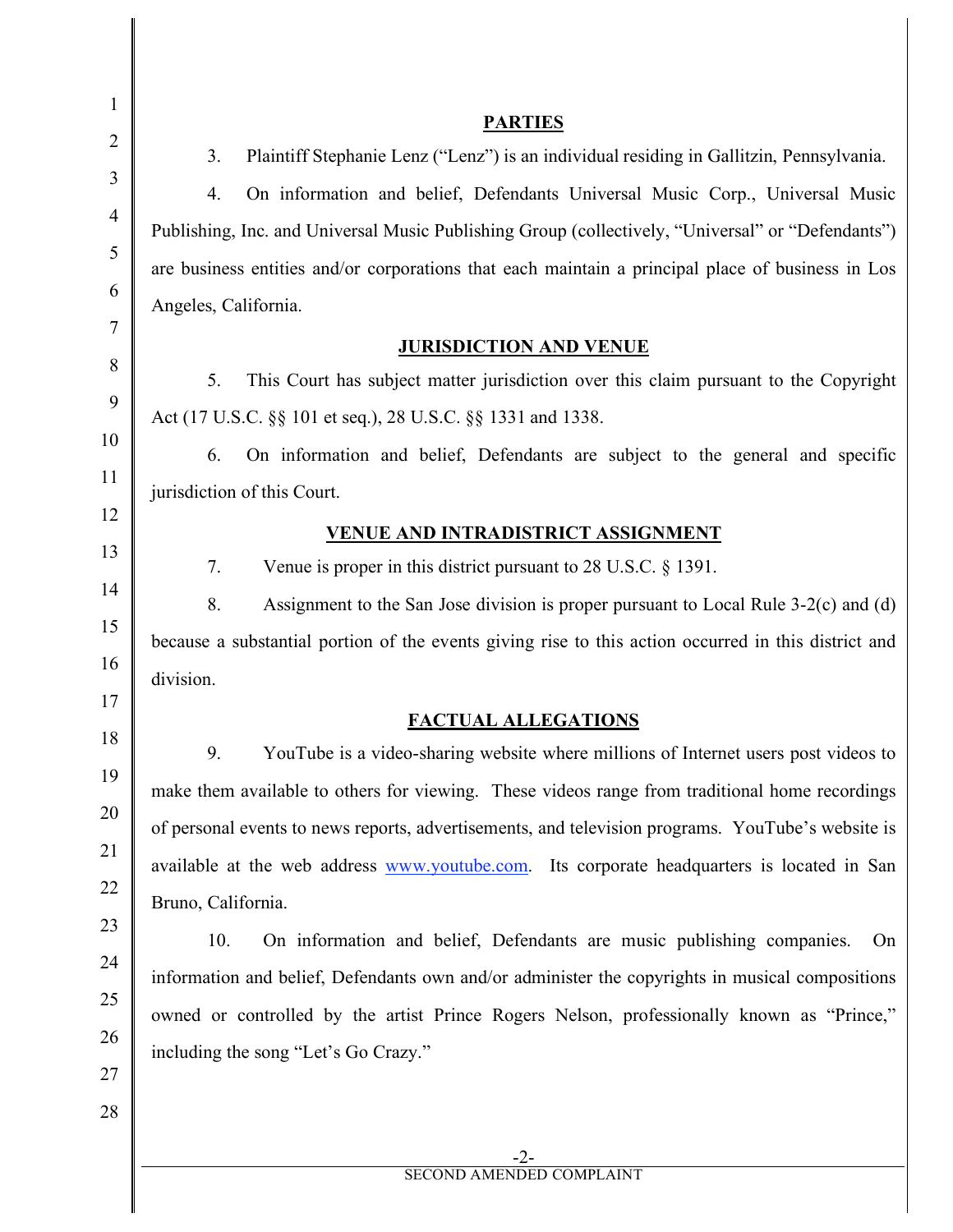3. Plaintiff Stephanie Lenz ("Lenz") is an individual residing in Gallitzin, Pennsylvania. 4. On information and belief, Defendants Universal Music Corp., Universal Music Publishing, Inc. and Universal Music Publishing Group (collectively, "Universal" or "Defendants") are business entities and/or corporations that each maintain a principal place of business in Los Angeles, California.

## **JURISDICTION AND VENUE**

5. This Court has subject matter jurisdiction over this claim pursuant to the Copyright Act (17 U.S.C. §§ 101 et seq.), 28 U.S.C. §§ 1331 and 1338.

6. On information and belief, Defendants are subject to the general and specific jurisdiction of this Court.

## **VENUE AND INTRADISTRICT ASSIGNMENT**

7. Venue is proper in this district pursuant to 28 U.S.C. § 1391.

8. Assignment to the San Jose division is proper pursuant to Local Rule 3-2(c) and (d) because a substantial portion of the events giving rise to this action occurred in this district and division.

# **FACTUAL ALLEGATIONS**

9. YouTube is a video-sharing website where millions of Internet users post videos to make them available to others for viewing. These videos range from traditional home recordings of personal events to news reports, advertisements, and television programs. YouTube's website is available at the web address www.youtube.com. Its corporate headquarters is located in San Bruno, California.

10. On information and belief, Defendants are music publishing companies. On information and belief, Defendants own and/or administer the copyrights in musical compositions owned or controlled by the artist Prince Rogers Nelson, professionally known as "Prince," including the song "Let's Go Crazy."

1

 $\mathcal{L}$ 

3

4

5

6

7

8

9

#### **PARTIES**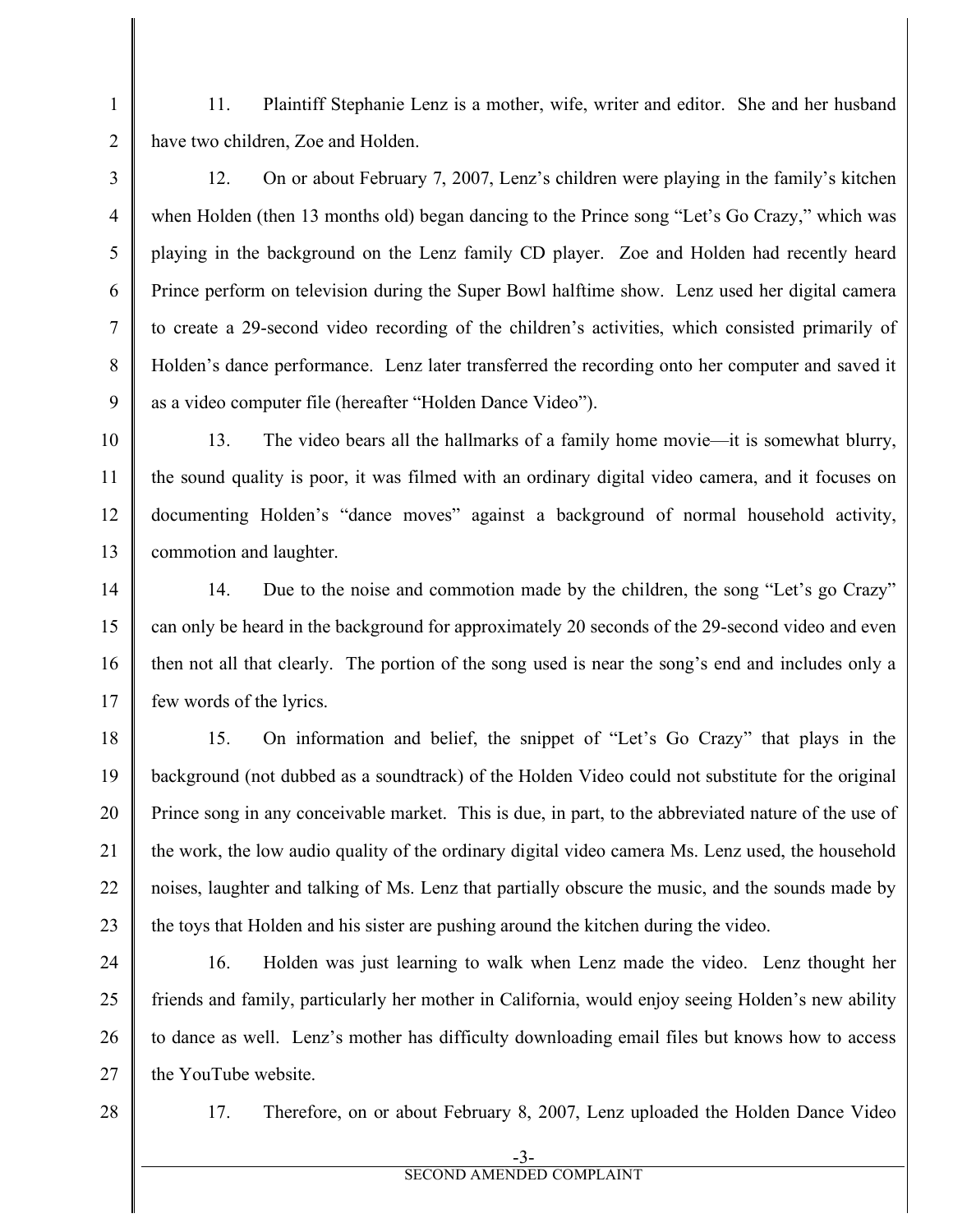11. Plaintiff Stephanie Lenz is a mother, wife, writer and editor. She and her husband have two children, Zoe and Holden.

12. On or about February 7, 2007, Lenz's children were playing in the family's kitchen when Holden (then 13 months old) began dancing to the Prince song "Let's Go Crazy," which was playing in the background on the Lenz family CD player. Zoe and Holden had recently heard Prince perform on television during the Super Bowl halftime show. Lenz used her digital camera to create a 29-second video recording of the children's activities, which consisted primarily of Holden's dance performance. Lenz later transferred the recording onto her computer and saved it as a video computer file (hereafter "Holden Dance Video").

13. The video bears all the hallmarks of a family home movie—it is somewhat blurry, the sound quality is poor, it was filmed with an ordinary digital video camera, and it focuses on documenting Holden's "dance moves" against a background of normal household activity, commotion and laughter.

14 15 16 17 14. Due to the noise and commotion made by the children, the song "Let's go Crazy" can only be heard in the background for approximately 20 seconds of the 29-second video and even then not all that clearly. The portion of the song used is near the song's end and includes only a few words of the lyrics.

18 19 20 21 22 23 15. On information and belief, the snippet of "Let's Go Crazy" that plays in the background (not dubbed as a soundtrack) of the Holden Video could not substitute for the original Prince song in any conceivable market. This is due, in part, to the abbreviated nature of the use of the work, the low audio quality of the ordinary digital video camera Ms. Lenz used, the household noises, laughter and talking of Ms. Lenz that partially obscure the music, and the sounds made by the toys that Holden and his sister are pushing around the kitchen during the video.

24 25 26 27 16. Holden was just learning to walk when Lenz made the video. Lenz thought her friends and family, particularly her mother in California, would enjoy seeing Holden's new ability to dance as well. Lenz's mother has difficulty downloading email files but knows how to access the YouTube website.

28

1

 $\mathcal{L}$ 

3

4

5

6

7

8

9

10

11

12

13

17. Therefore, on or about February 8, 2007, Lenz uploaded the Holden Dance Video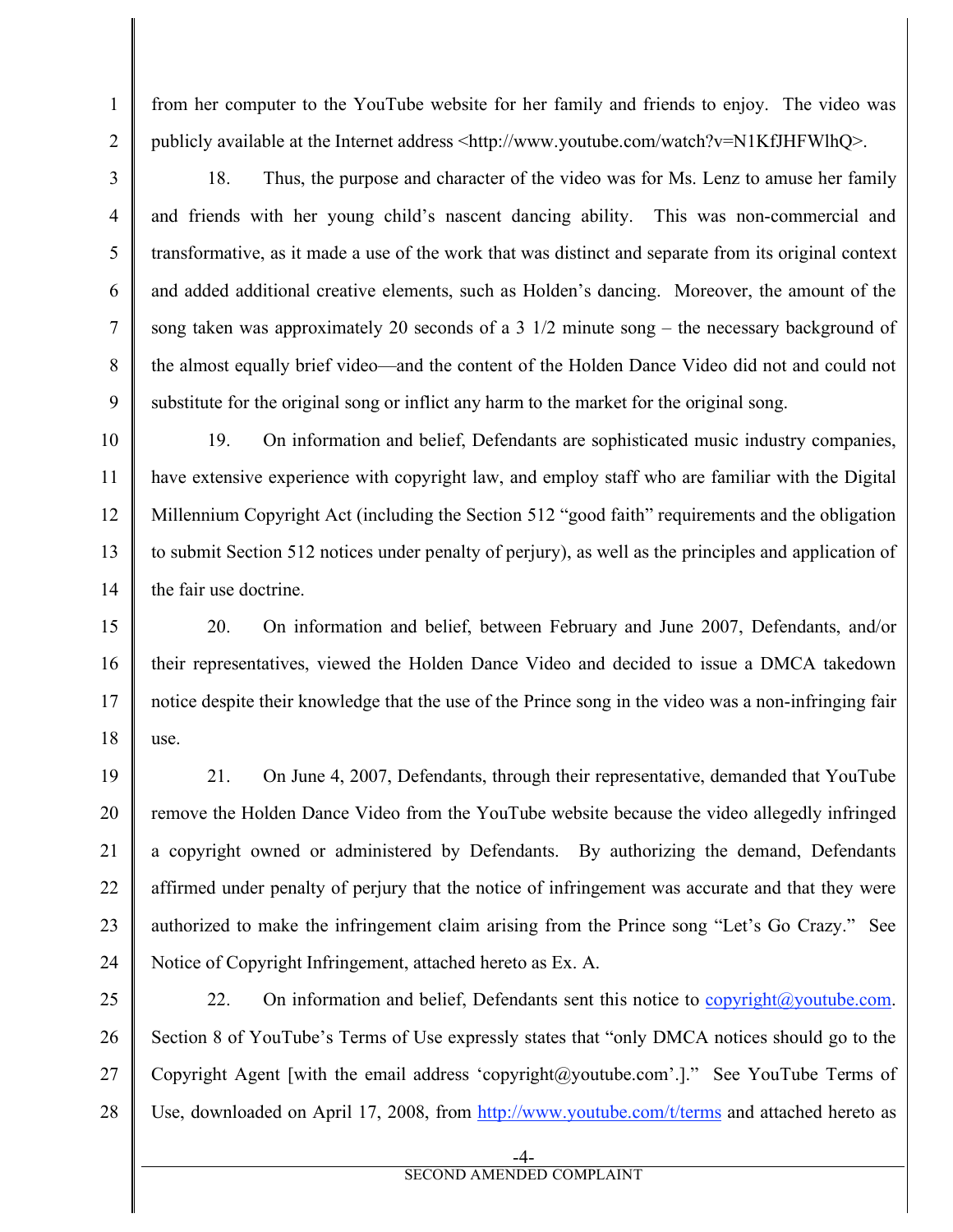from her computer to the YouTube website for her family and friends to enjoy. The video was publicly available at the Internet address <http://www.youtube.com/watch?v=N1KfJHFWlhQ>.

1

 $\mathfrak{D}$ 

3

4

5

6

7

8

9

10

11

12

13

16

17

18. Thus, the purpose and character of the video was for Ms. Lenz to amuse her family and friends with her young child's nascent dancing ability. This was non-commercial and transformative, as it made a use of the work that was distinct and separate from its original context and added additional creative elements, such as Holden's dancing. Moreover, the amount of the song taken was approximately 20 seconds of a 3  $1/2$  minute song – the necessary background of the almost equally brief video—and the content of the Holden Dance Video did not and could not substitute for the original song or inflict any harm to the market for the original song.

14 19. On information and belief, Defendants are sophisticated music industry companies, have extensive experience with copyright law, and employ staff who are familiar with the Digital Millennium Copyright Act (including the Section 512 "good faith" requirements and the obligation to submit Section 512 notices under penalty of perjury), as well as the principles and application of the fair use doctrine.

15 18 20. On information and belief, between February and June 2007, Defendants, and/or their representatives, viewed the Holden Dance Video and decided to issue a DMCA takedown notice despite their knowledge that the use of the Prince song in the video was a non-infringing fair use.

19 20 21 22 23 24 21. On June 4, 2007, Defendants, through their representative, demanded that YouTube remove the Holden Dance Video from the YouTube website because the video allegedly infringed a copyright owned or administered by Defendants. By authorizing the demand, Defendants affirmed under penalty of perjury that the notice of infringement was accurate and that they were authorized to make the infringement claim arising from the Prince song "Let's Go Crazy." See Notice of Copyright Infringement, attached hereto as Ex. A.

25 26 27 28 22. On information and belief, Defendants sent this notice to  $\frac{1}{2}$  copyright $\omega$  voutube.com. Section 8 of YouTube's Terms of Use expressly states that "only DMCA notices should go to the Copyright Agent [with the email address 'copyright@youtube.com'.]." See YouTube Terms of Use, downloaded on April 17, 2008, from http://www.youtube.com/t/terms and attached hereto as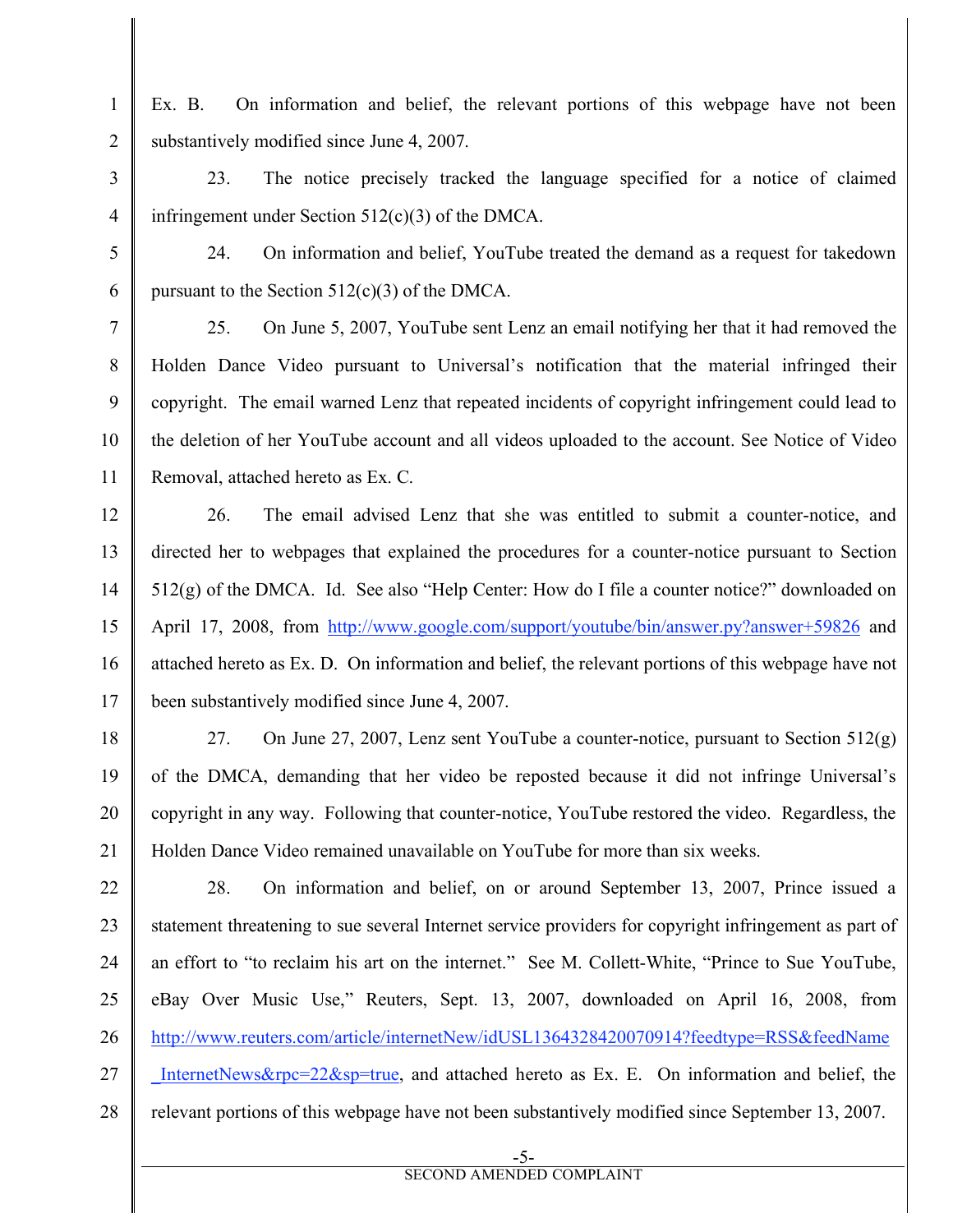Ex. B. On information and belief, the relevant portions of this webpage have not been substantively modified since June 4, 2007.

1

 $\mathcal{L}$ 

3

4

5

6

7

8

9

10

11

23. The notice precisely tracked the language specified for a notice of claimed infringement under Section  $512(c)(3)$  of the DMCA.

24. On information and belief, YouTube treated the demand as a request for takedown pursuant to the Section  $512(c)(3)$  of the DMCA.

25. On June 5, 2007, YouTube sent Lenz an email notifying her that it had removed the Holden Dance Video pursuant to Universal's notification that the material infringed their copyright. The email warned Lenz that repeated incidents of copyright infringement could lead to the deletion of her YouTube account and all videos uploaded to the account. See Notice of Video Removal, attached hereto as Ex. C.

12 13 14 15 16 17 26. The email advised Lenz that she was entitled to submit a counter-notice, and directed her to webpages that explained the procedures for a counter-notice pursuant to Section 512(g) of the DMCA. Id. See also "Help Center: How do I file a counter notice?" downloaded on April 17, 2008, from http://www.google.com/support/youtube/bin/answer.py?answer+59826 and attached hereto as Ex. D. On information and belief, the relevant portions of this webpage have not been substantively modified since June 4, 2007.

18 19 20 21 27. On June 27, 2007, Lenz sent YouTube a counter-notice, pursuant to Section 512(g) of the DMCA, demanding that her video be reposted because it did not infringe Universal's copyright in any way. Following that counter-notice, YouTube restored the video. Regardless, the Holden Dance Video remained unavailable on YouTube for more than six weeks.

22 23 24 25 26 27 28 28. On information and belief, on or around September 13, 2007, Prince issued a statement threatening to sue several Internet service providers for copyright infringement as part of an effort to "to reclaim his art on the internet." See M. Collett-White, "Prince to Sue YouTube, eBay Over Music Use," Reuters, Sept. 13, 2007, downloaded on April 16, 2008, from http://www.reuters.com/article/internetNew/idUSL1364328420070914?feedtype=RSS&feedName InternetNews&rpc=22&sp=true, and attached hereto as Ex. E. On information and belief, the relevant portions of this webpage have not been substantively modified since September 13, 2007.

SECOND AMENDED COMPLAINT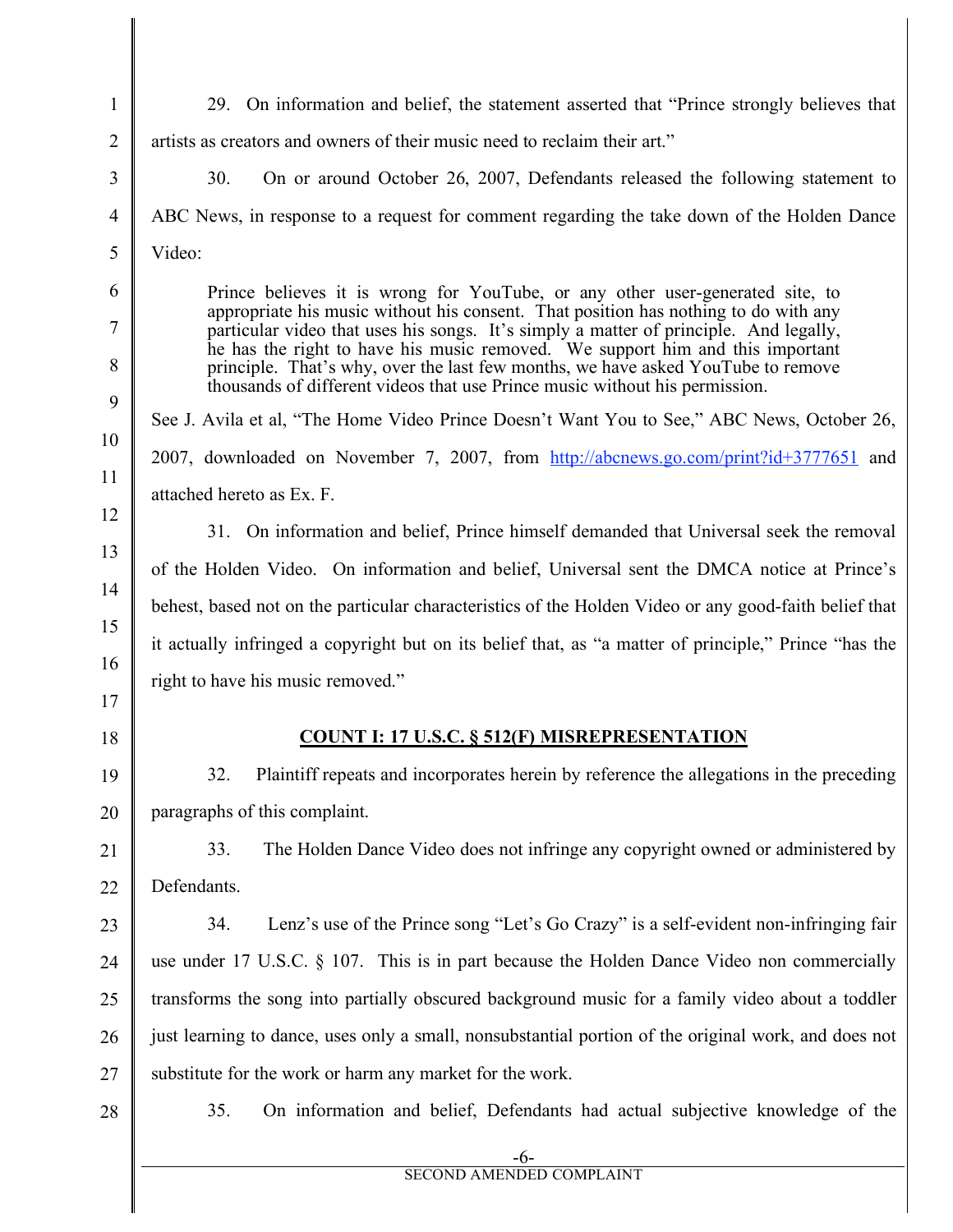-6- 1  $\mathcal{L}$ 3 4 5 6 7 8 9 10 11 12 13 14 15 16 17 18 19 20 21 22 23  $24$ 25 26 27 28 29. On information and belief, the statement asserted that "Prince strongly believes that artists as creators and owners of their music need to reclaim their art." 30. On or around October 26, 2007, Defendants released the following statement to ABC News, in response to a request for comment regarding the take down of the Holden Dance Video: Prince believes it is wrong for YouTube, or any other user-generated site, to appropriate his music without his consent. That position has nothing to do with any particular video that uses his songs. It's simply a matter of principle. And legally, he has the right to have his music removed. We support him and this important principle. That's why, over the last few months, we have asked YouTube to remove thousands of different videos that use Prince music without his permission. See J. Avila et al, "The Home Video Prince Doesn't Want You to See," ABC News, October 26, 2007, downloaded on November 7, 2007, from http://abcnews.go.com/print?id+3777651 and attached hereto as Ex. F. 31. On information and belief, Prince himself demanded that Universal seek the removal of the Holden Video. On information and belief, Universal sent the DMCA notice at Prince's behest, based not on the particular characteristics of the Holden Video or any good-faith belief that it actually infringed a copyright but on its belief that, as "a matter of principle," Prince "has the right to have his music removed." **COUNT I: 17 U.S.C. § 512(F) MISREPRESENTATION** 32. Plaintiff repeats and incorporates herein by reference the allegations in the preceding paragraphs of this complaint. 33. The Holden Dance Video does not infringe any copyright owned or administered by **Defendants** 34. Lenz's use of the Prince song "Let's Go Crazy" is a self-evident non-infringing fair use under 17 U.S.C. § 107. This is in part because the Holden Dance Video non commercially transforms the song into partially obscured background music for a family video about a toddler just learning to dance, uses only a small, nonsubstantial portion of the original work, and does not substitute for the work or harm any market for the work. 35. On information and belief, Defendants had actual subjective knowledge of the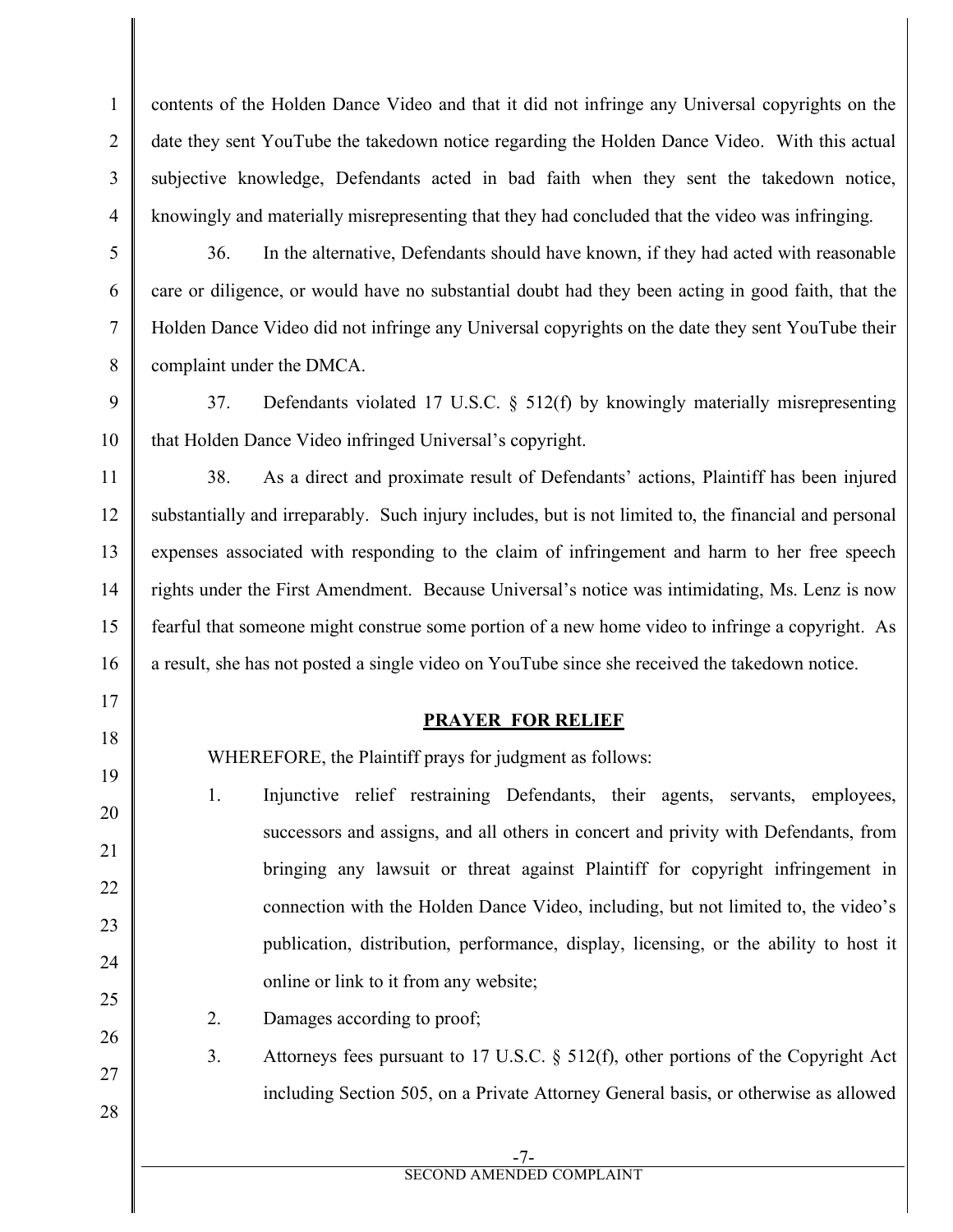contents of the Holden Dance Video and that it did not infringe any Universal copyrights on the date they sent YouTube the takedown notice regarding the Holden Dance Video. With this actual subjective knowledge, Defendants acted in bad faith when they sent the takedown notice, knowingly and materially misrepresenting that they had concluded that the video was infringing.

5

1

 $\mathfrak{D}$ 

3

4

6

7

8

17

18

19

20

21

22

23

 $24$ 

25

26

27

28

36. In the alternative, Defendants should have known, if they had acted with reasonable care or diligence, or would have no substantial doubt had they been acting in good faith, that the Holden Dance Video did not infringe any Universal copyrights on the date they sent YouTube their complaint under the DMCA.

9 10 37. Defendants violated 17 U.S.C. § 512(f) by knowingly materially misrepresenting that Holden Dance Video infringed Universal's copyright.

11 12 13 14 15 16 38. As a direct and proximate result of Defendants' actions, Plaintiff has been injured substantially and irreparably. Such injury includes, but is not limited to, the financial and personal expenses associated with responding to the claim of infringement and harm to her free speech rights under the First Amendment. Because Universal's notice was intimidating, Ms. Lenz is now fearful that someone might construe some portion of a new home video to infringe a copyright. As a result, she has not posted a single video on YouTube since she received the takedown notice.

# **PRAYER FOR RELIEF**

WHEREFORE, the Plaintiff prays for judgment as follows:

1. Injunctive relief restraining Defendants, their agents, servants, employees, successors and assigns, and all others in concert and privity with Defendants, from bringing any lawsuit or threat against Plaintiff for copyright infringement in connection with the Holden Dance Video, including, but not limited to, the video's publication, distribution, performance, display, licensing, or the ability to host it online or link to it from any website;

2. Damages according to proof;

3. Attorneys fees pursuant to 17 U.S.C. § 512(f), other portions of the Copyright Act including Section 505, on a Private Attorney General basis, or otherwise as allowed